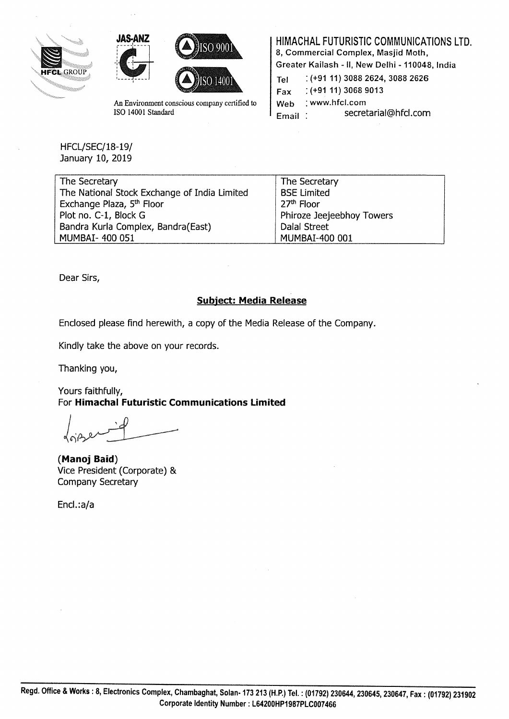





An Environment conscious company certified to ISO 14001 Standard

HIMACHAL FUTURISTIC COMMUNICATIONS LTD.

8, Commercial Complex, Masjid Moth,

Greater Kailash- II, New Delhi- 110048, India

| $( +91 11) 3088 2624, 3088 2626$<br>Tel |  |
|-----------------------------------------|--|
|-----------------------------------------|--|

 $Fax$  : (+91 11) 3068 9013

Web : www.hfcl.com

Email: secretarial@hfcl.com

HFCL/SEC/18-19/ January 10, 2019

| The Secretary                                | The Secretary             |
|----------------------------------------------|---------------------------|
| The National Stock Exchange of India Limited | <b>BSE Limited</b>        |
| Exchange Plaza, 5th Floor                    | 27 <sup>th</sup> Floor    |
| Plot no. C-1, Block G                        | Phiroze Jeejeebhoy Towers |
| Bandra Kurla Complex, Bandra(East)           | Dalal Street              |
| MUMBAI- 400 051                              | MUMBAI-400 001            |

Dear Sirs,

#### Subject: Media Release

Enclosed please find herewith, a copy of the Media Release of the Company.

Kindly take the above on your records.

Thanking you,

Yours faithfully, For Himachal Futuristic Communications Limited

(Manoj Baid) Vice President (Corporate) & Company Secretary

Encl.:a/a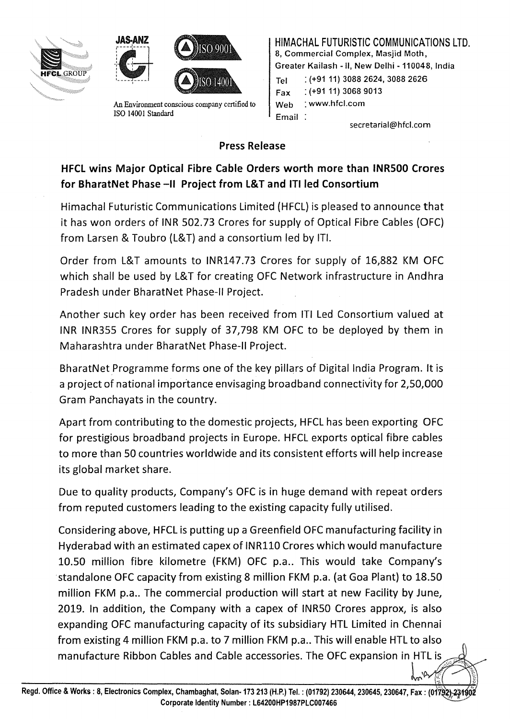





An Environment conscious company certified to ISO 14001 Standard

HIMACHAL FUTURISTIC COMMUNICATIONS LTD. 8, Commercial Complex, Masjid Moth, Greater Kailash -II, New Delhi- 110048, India Tel : (+91 11) 3088 2624, 3088 2626  $Fax$  : (+91 11) 3068 9013 Web : www.hfcl.com Email:

secretarial@hfcl.com

·~.

### Press Release

## HFCL wins Major Optical Fibre Cable Orders worth more than INRSOO Crores for BharatNet Phase -II Project from L&T and ITI led Consortium

Himachal Futuristic Communications Limited (HFCL) is pleased to announce that it has won orders of INR 502.73 Crores for supply of Optical Fibre Cables (OFC) from Larsen & Toubro (L&T) and a consortium led by ITI.

Order from L&T amounts to INR147.73 Crores for supply of 16,882 KM OFC which shall be used by L&T for creating OFC Network infrastructure in Andhra Pradesh under BharatNet Phase-11 Project.

Another such key order has been received from ITI Led Consortium valued at INR INR355 Crores for supply of 37,798 KM OFC to be deployed by them in Maharashtra under BharatNet Phase-11 Project.

BharatNet Programme forms one of the key pillars of Digital India Program. It is a project of national importance envisaging broadband connectivity for 2,50,000 Gram Panchayats in the country.

Apart from contributing to the domestic projects, HFCL has been exporting OFC for prestigious broadband projects in Europe. HFCL exports optical fibre cables to more than SO countries worldwide and its consistent efforts will help increase its global market share.

Due to quality products, Company's OFC is in huge demand with repeat orders from reputed customers leading to the existing capacity fully utilised.

Considering above, HFCL is putting up a Greenfield OFC manufacturing facility in Hyderabad with an estimated capex of INR110 Crores which would manufacture 10.50 million fibre kilometre (FKM) OFC p.a.. This would take Company's standalone OFC capacity from existing 8 million FKM p.a. (at Goa Plant) to 18.50 million FKM p.a.. The commercial production will start at new Facility by June, 2019. In addition, the Company with a capex of JNRSO Crores approx, is also expanding OFC manufacturing capacity of its subsidiary HTL Limited in Chennai from existing 4 million FKM p.a. to 7 million FKM p.a.. This will enable HTL to also ..  $ln 126$  $\leq$ manufacture Ribbon Cables and Cable accessories. The OFC expansion in HTL is